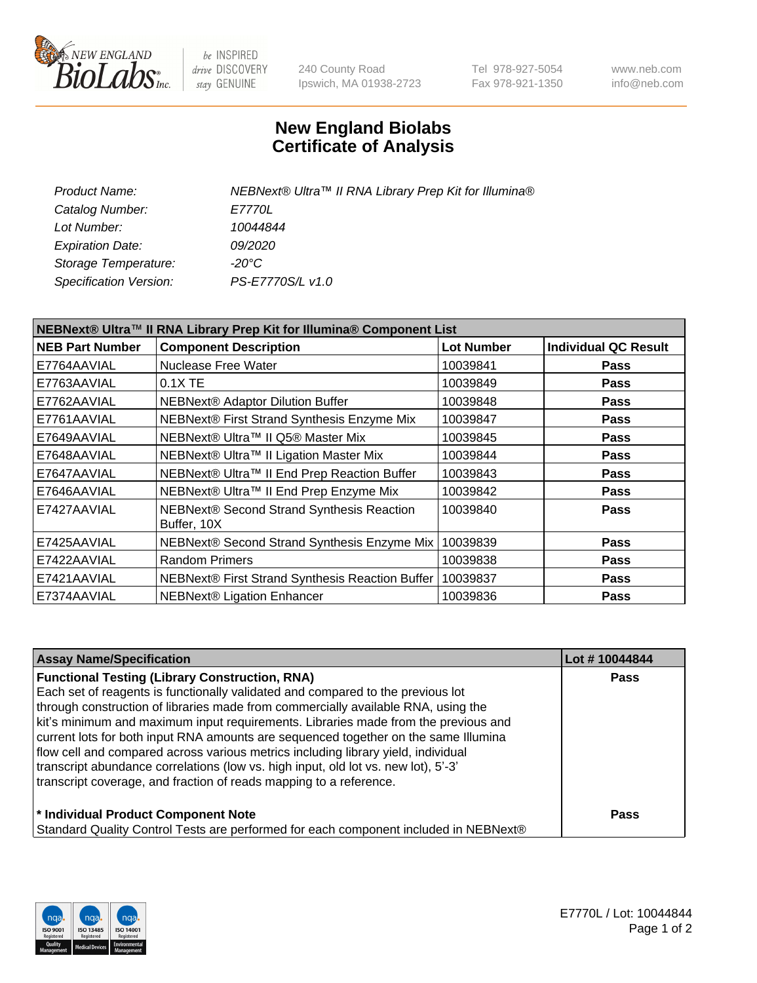

 $be$  INSPIRED drive DISCOVERY stay GENUINE

240 County Road Ipswich, MA 01938-2723 Tel 978-927-5054 Fax 978-921-1350 www.neb.com info@neb.com

## **New England Biolabs Certificate of Analysis**

| Product Name:           | NEBNext® Ultra™ II RNA Library Prep Kit for Illumina® |
|-------------------------|-------------------------------------------------------|
| Catalog Number:         | <i>E7770L</i>                                         |
| Lot Number:             | 10044844                                              |
| <b>Expiration Date:</b> | <i>09/2020</i>                                        |
| Storage Temperature:    | -20°C                                                 |
| Specification Version:  | PS-E7770S/L v1.0                                      |
|                         |                                                       |

| NEBNext® Ultra™ II RNA Library Prep Kit for Illumina® Component List |                                                          |                   |                             |  |  |
|----------------------------------------------------------------------|----------------------------------------------------------|-------------------|-----------------------------|--|--|
| <b>NEB Part Number</b>                                               | <b>Component Description</b>                             | <b>Lot Number</b> | <b>Individual QC Result</b> |  |  |
| E7764AAVIAL                                                          | Nuclease Free Water                                      | 10039841          | <b>Pass</b>                 |  |  |
| E7763AAVIAL                                                          | $0.1X$ TE                                                | 10039849          | <b>Pass</b>                 |  |  |
| E7762AAVIAL                                                          | <b>NEBNext® Adaptor Dilution Buffer</b>                  | 10039848          | <b>Pass</b>                 |  |  |
| E7761AAVIAL                                                          | NEBNext® First Strand Synthesis Enzyme Mix               | 10039847          | Pass                        |  |  |
| E7649AAVIAL                                                          | NEBNext® Ultra™ II Q5® Master Mix                        | 10039845          | <b>Pass</b>                 |  |  |
| E7648AAVIAL                                                          | NEBNext® Ultra™ II Ligation Master Mix                   | 10039844          | <b>Pass</b>                 |  |  |
| E7647AAVIAL                                                          | NEBNext® Ultra™ II End Prep Reaction Buffer              | 10039843          | <b>Pass</b>                 |  |  |
| E7646AAVIAL                                                          | NEBNext® Ultra™ II End Prep Enzyme Mix                   | 10039842          | <b>Pass</b>                 |  |  |
| E7427AAVIAL                                                          | NEBNext® Second Strand Synthesis Reaction<br>Buffer, 10X | 10039840          | <b>Pass</b>                 |  |  |
| E7425AAVIAL                                                          | NEBNext® Second Strand Synthesis Enzyme Mix              | 10039839          | <b>Pass</b>                 |  |  |
| E7422AAVIAL                                                          | <b>Random Primers</b>                                    | 10039838          | <b>Pass</b>                 |  |  |
| E7421AAVIAL                                                          | NEBNext® First Strand Synthesis Reaction Buffer          | 10039837          | <b>Pass</b>                 |  |  |
| E7374AAVIAL                                                          | NEBNext® Ligation Enhancer                               | 10039836          | <b>Pass</b>                 |  |  |

| <b>Assay Name/Specification</b>                                                      | Lot #10044844 |
|--------------------------------------------------------------------------------------|---------------|
| <b>Functional Testing (Library Construction, RNA)</b>                                | <b>Pass</b>   |
| Each set of reagents is functionally validated and compared to the previous lot      |               |
| through construction of libraries made from commercially available RNA, using the    |               |
| kit's minimum and maximum input requirements. Libraries made from the previous and   |               |
| current lots for both input RNA amounts are sequenced together on the same Illumina  |               |
| flow cell and compared across various metrics including library yield, individual    |               |
| transcript abundance correlations (low vs. high input, old lot vs. new lot), 5'-3'   |               |
| transcript coverage, and fraction of reads mapping to a reference.                   |               |
| * Individual Product Component Note                                                  | <b>Pass</b>   |
| Standard Quality Control Tests are performed for each component included in NEBNext® |               |